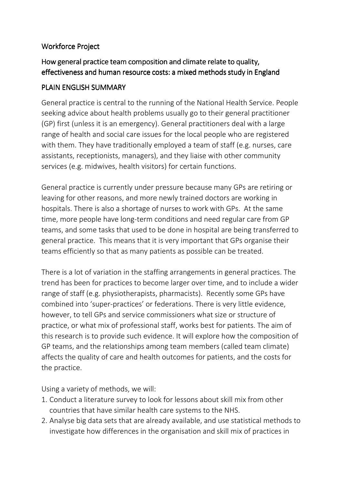## Workforce Project

## How general practice team composition and climate relate to quality, effectiveness and human resource costs: a mixed methods study in England

## PLAIN ENGLISH SUMMARY

General practice is central to the running of the National Health Service. People seeking advice about health problems usually go to their general practitioner (GP) first (unless it is an emergency). General practitioners deal with a large range of health and social care issues for the local people who are registered with them. They have traditionally employed a team of staff (e.g. nurses, care assistants, receptionists, managers), and they liaise with other community services (e.g. midwives, health visitors) for certain functions.

General practice is currently under pressure because many GPs are retiring or leaving for other reasons, and more newly trained doctors are working in hospitals. There is also a shortage of nurses to work with GPs. At the same time, more people have long-term conditions and need regular care from GP teams, and some tasks that used to be done in hospital are being transferred to general practice. This means that it is very important that GPs organise their teams efficiently so that as many patients as possible can be treated.

There is a lot of variation in the staffing arrangements in general practices. The trend has been for practices to become larger over time, and to include a wider range of staff (e.g. physiotherapists, pharmacists). Recently some GPs have combined into 'super-practices' or federations. There is very little evidence, however, to tell GPs and service commissioners what size or structure of practice, or what mix of professional staff, works best for patients. The aim of this research is to provide such evidence. It will explore how the composition of GP teams, and the relationships among team members (called team climate) affects the quality of care and health outcomes for patients, and the costs for the practice.

Using a variety of methods, we will:

- 1. Conduct a literature survey to look for lessons about skill mix from other countries that have similar health care systems to the NHS.
- 2. Analyse big data sets that are already available, and use statistical methods to investigate how differences in the organisation and skill mix of practices in